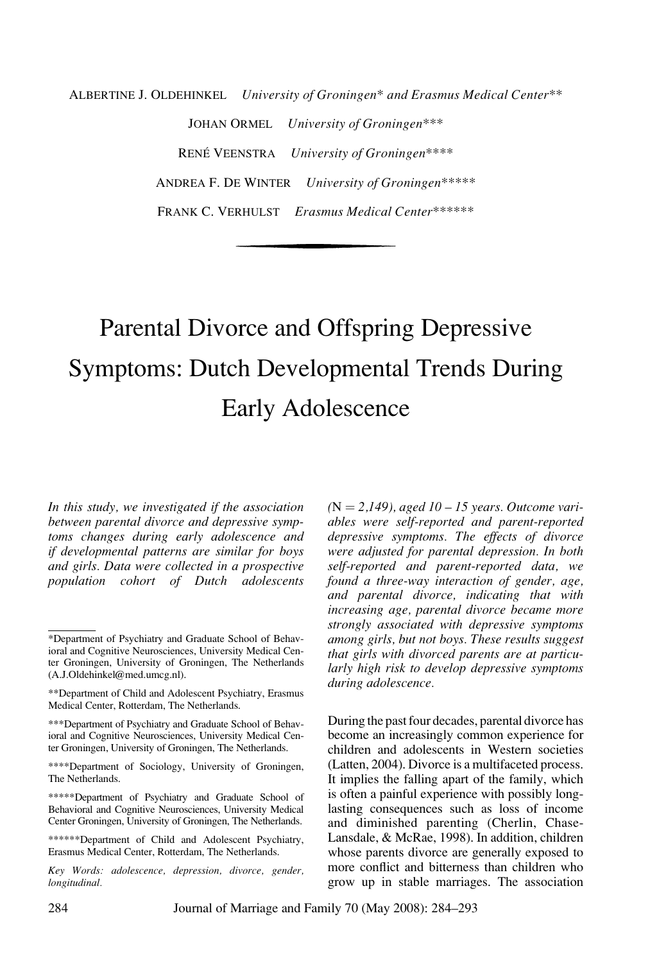ALBERTINE J. OLDEHINKEL University of Groningen<sup>\*</sup> and Erasmus Medical Center<sup>\*\*</sup> JOHAN ORMEL University of Groningen\*\*\* RENÉ VEENSTRA University of Groningen\*\*\*\* ANDREA F. DE WINTER University of Groningen\*\*\*\*\* FRANK C. VERHULST Erasmus Medical Center\*\*\*\*\*\*

# Parental Divorce and Offspring Depressive Symptoms: Dutch Developmental Trends During Early Adolescence

In this study, we investigated if the association between parental divorce and depressive symptoms changes during early adolescence and if developmental patterns are similar for boys and girls. Data were collected in a prospective population cohort of Dutch adolescents

 $(N = 2,149)$ , aged 10 – 15 years. Outcome variables were self-reported and parent-reported depressive symptoms. The effects of divorce were adjusted for parental depression. In both self-reported and parent-reported data, we found a three-way interaction of gender, age, and parental divorce, indicating that with increasing age, parental divorce became more strongly associated with depressive symptoms among girls, but not boys. These results suggest that girls with divorced parents are at particularly high risk to develop depressive symptoms during adolescence.

During the past four decades, parental divorce has become an increasingly common experience for children and adolescents in Western societies (Latten, 2004). Divorce is a multifaceted process. It implies the falling apart of the family, which is often a painful experience with possibly longlasting consequences such as loss of income and diminished parenting (Cherlin, Chase-Lansdale, & McRae, 1998). In addition, children whose parents divorce are generally exposed to more conflict and bitterness than children who grow up in stable marriages. The association

<sup>\*</sup>Department of Psychiatry and Graduate School of Behavioral and Cognitive Neurosciences, University Medical Center Groningen, University of Groningen, The Netherlands (A.J.Oldehinkel@med.umcg.nl).

<sup>\*\*</sup>Department of Child and Adolescent Psychiatry, Erasmus Medical Center, Rotterdam, The Netherlands.

<sup>\*\*\*</sup>Department of Psychiatry and Graduate School of Behavioral and Cognitive Neurosciences, University Medical Center Groningen, University of Groningen, The Netherlands.

<sup>\*\*\*\*</sup>Department of Sociology, University of Groningen, The Netherlands.

<sup>\*\*\*\*\*</sup>Department of Psychiatry and Graduate School of Behavioral and Cognitive Neurosciences, University Medical Center Groningen, University of Groningen, The Netherlands.

<sup>\*\*\*\*\*\*</sup>Department of Child and Adolescent Psychiatry, Erasmus Medical Center, Rotterdam, The Netherlands.

Key Words: adolescence, depression, divorce, gender, longitudinal.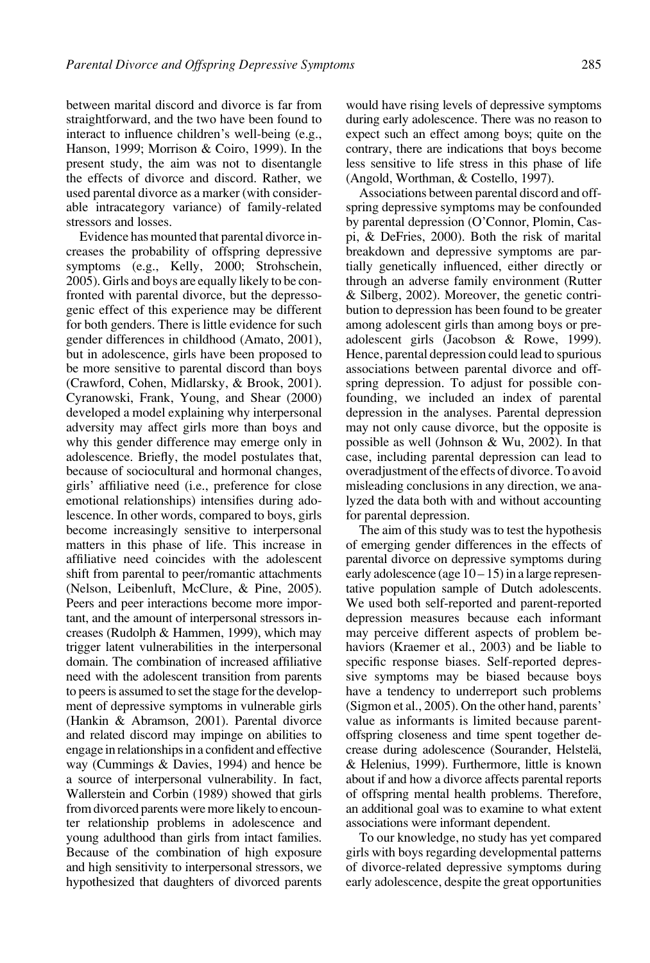between marital discord and divorce is far from straightforward, and the two have been found to interact to influence children's well-being (e.g., Hanson, 1999; Morrison & Coiro, 1999). In the present study, the aim was not to disentangle the effects of divorce and discord. Rather, we used parental divorce as a marker (with considerable intracategory variance) of family-related stressors and losses.

Evidence has mounted that parental divorce increases the probability of offspring depressive symptoms (e.g., Kelly, 2000; Strohschein, 2005). Girls and boys are equally likely to be confronted with parental divorce, but the depressogenic effect of this experience may be different for both genders. There is little evidence for such gender differences in childhood (Amato, 2001), but in adolescence, girls have been proposed to be more sensitive to parental discord than boys (Crawford, Cohen, Midlarsky, & Brook, 2001). Cyranowski, Frank, Young, and Shear (2000) developed a model explaining why interpersonal adversity may affect girls more than boys and why this gender difference may emerge only in adolescence. Briefly, the model postulates that, because of sociocultural and hormonal changes, girls' affiliative need (i.e., preference for close emotional relationships) intensifies during adolescence. In other words, compared to boys, girls become increasingly sensitive to interpersonal matters in this phase of life. This increase in affiliative need coincides with the adolescent shift from parental to peer/romantic attachments (Nelson, Leibenluft, McClure, & Pine, 2005). Peers and peer interactions become more important, and the amount of interpersonal stressors increases (Rudolph & Hammen, 1999), which may trigger latent vulnerabilities in the interpersonal domain. The combination of increased affiliative need with the adolescent transition from parents to peers is assumed to set the stage for the development of depressive symptoms in vulnerable girls (Hankin & Abramson, 2001). Parental divorce and related discord may impinge on abilities to engage in relationships in a confident and effective way (Cummings & Davies, 1994) and hence be a source of interpersonal vulnerability. In fact, Wallerstein and Corbin (1989) showed that girls from divorced parents were more likely to encounter relationship problems in adolescence and young adulthood than girls from intact families. Because of the combination of high exposure and high sensitivity to interpersonal stressors, we hypothesized that daughters of divorced parents

would have rising levels of depressive symptoms during early adolescence. There was no reason to expect such an effect among boys; quite on the contrary, there are indications that boys become less sensitive to life stress in this phase of life (Angold, Worthman, & Costello, 1997).

Associations between parental discord and offspring depressive symptoms may be confounded by parental depression (O'Connor, Plomin, Caspi, & DeFries, 2000). Both the risk of marital breakdown and depressive symptoms are partially genetically influenced, either directly or through an adverse family environment (Rutter & Silberg, 2002). Moreover, the genetic contribution to depression has been found to be greater among adolescent girls than among boys or preadolescent girls (Jacobson & Rowe, 1999). Hence, parental depression could lead to spurious associations between parental divorce and offspring depression. To adjust for possible confounding, we included an index of parental depression in the analyses. Parental depression may not only cause divorce, but the opposite is possible as well (Johnson & Wu, 2002). In that case, including parental depression can lead to overadjustment of the effects of divorce. To avoid misleading conclusions in any direction, we analyzed the data both with and without accounting for parental depression.

The aim of this study was to test the hypothesis of emerging gender differences in the effects of parental divorce on depressive symptoms during early adolescence (age  $10-15$ ) in a large representative population sample of Dutch adolescents. We used both self-reported and parent-reported depression measures because each informant may perceive different aspects of problem behaviors (Kraemer et al., 2003) and be liable to specific response biases. Self-reported depressive symptoms may be biased because boys have a tendency to underreport such problems (Sigmon et al., 2005). On the other hand, parents' value as informants is limited because parentoffspring closeness and time spent together decrease during adolescence (Sourander, Helstelä, & Helenius, 1999). Furthermore, little is known about if and how a divorce affects parental reports of offspring mental health problems. Therefore, an additional goal was to examine to what extent associations were informant dependent.

To our knowledge, no study has yet compared girls with boys regarding developmental patterns of divorce-related depressive symptoms during early adolescence, despite the great opportunities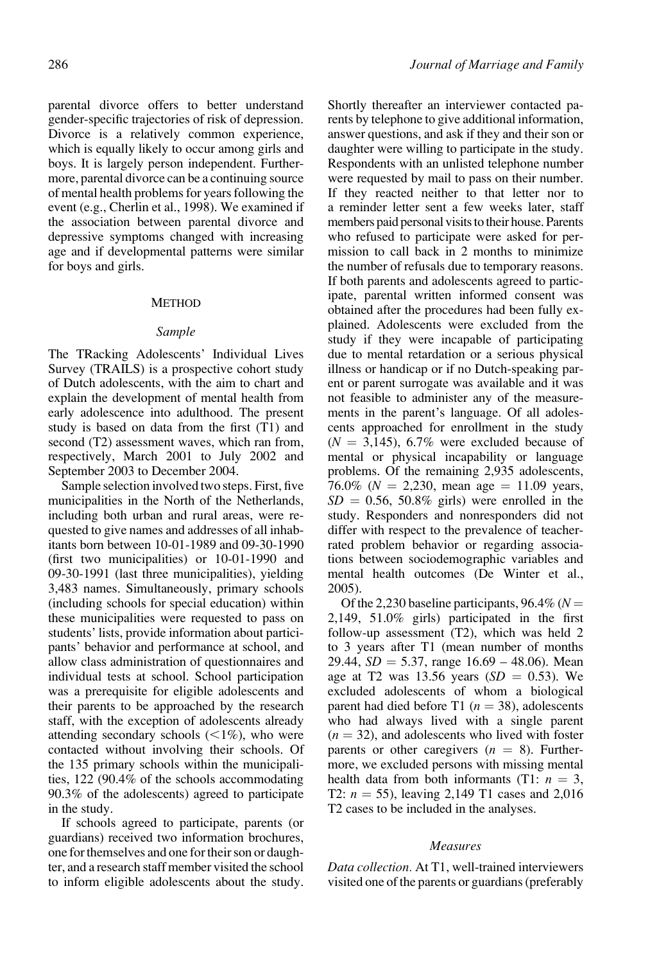parental divorce offers to better understand gender-specific trajectories of risk of depression. Divorce is a relatively common experience, which is equally likely to occur among girls and boys. It is largely person independent. Furthermore, parental divorce can be a continuing source of mental health problems for years following the event (e.g., Cherlin et al., 1998). We examined if the association between parental divorce and depressive symptoms changed with increasing age and if developmental patterns were similar for boys and girls.

# **METHOD**

#### Sample

The TRacking Adolescents' Individual Lives Survey (TRAILS) is a prospective cohort study of Dutch adolescents, with the aim to chart and explain the development of mental health from early adolescence into adulthood. The present study is based on data from the first (T1) and second (T2) assessment waves, which ran from, respectively, March 2001 to July 2002 and September 2003 to December 2004.

Sample selection involved two steps. First, five municipalities in the North of the Netherlands, including both urban and rural areas, were requested to give names and addresses of all inhabitants born between 10-01-1989 and 09-30-1990 (first two municipalities) or 10-01-1990 and 09-30-1991 (last three municipalities), yielding 3,483 names. Simultaneously, primary schools (including schools for special education) within these municipalities were requested to pass on students' lists, provide information about participants' behavior and performance at school, and allow class administration of questionnaires and individual tests at school. School participation was a prerequisite for eligible adolescents and their parents to be approached by the research staff, with the exception of adolescents already attending secondary schools  $\left( \langle 1\% \rangle, \right)$  who were contacted without involving their schools. Of the 135 primary schools within the municipalities, 122 (90.4% of the schools accommodating 90.3% of the adolescents) agreed to participate in the study.

If schools agreed to participate, parents (or guardians) received two information brochures, one for themselves and one for their son or daughter, and a research staff member visited the school to inform eligible adolescents about the study. Shortly thereafter an interviewer contacted parents by telephone to give additional information, answer questions, and ask if they and their son or daughter were willing to participate in the study. Respondents with an unlisted telephone number were requested by mail to pass on their number. If they reacted neither to that letter nor to a reminder letter sent a few weeks later, staff members paid personal visits to their house. Parents who refused to participate were asked for permission to call back in 2 months to minimize the number of refusals due to temporary reasons. If both parents and adolescents agreed to participate, parental written informed consent was obtained after the procedures had been fully explained. Adolescents were excluded from the study if they were incapable of participating due to mental retardation or a serious physical illness or handicap or if no Dutch-speaking parent or parent surrogate was available and it was not feasible to administer any of the measurements in the parent's language. Of all adolescents approached for enrollment in the study  $(N = 3,145)$ , 6.7% were excluded because of mental or physical incapability or language problems. Of the remaining 2,935 adolescents, 76.0% ( $N = 2,230$ , mean age = 11.09 years,  $SD = 0.56, 50.8\%$  girls) were enrolled in the study. Responders and nonresponders did not differ with respect to the prevalence of teacherrated problem behavior or regarding associations between sociodemographic variables and mental health outcomes (De Winter et al., 2005).

Of the 2,230 baseline participants, 96.4% ( $N =$ 2,149, 51.0% girls) participated in the first follow-up assessment (T2), which was held 2 to 3 years after T1 (mean number of months 29.44,  $SD = 5.37$ , range 16.69 – 48.06). Mean age at T2 was 13.56 years  $(SD = 0.53)$ . We excluded adolescents of whom a biological parent had died before T1 ( $n = 38$ ), adolescents who had always lived with a single parent  $(n = 32)$ , and adolescents who lived with foster parents or other caregivers  $(n = 8)$ . Furthermore, we excluded persons with missing mental health data from both informants (T1:  $n = 3$ , T2:  $n = 55$ ), leaving 2,149 T1 cases and 2,016 T2 cases to be included in the analyses.

### Measures

Data collection. At T1, well-trained interviewers visited one of the parents or guardians (preferably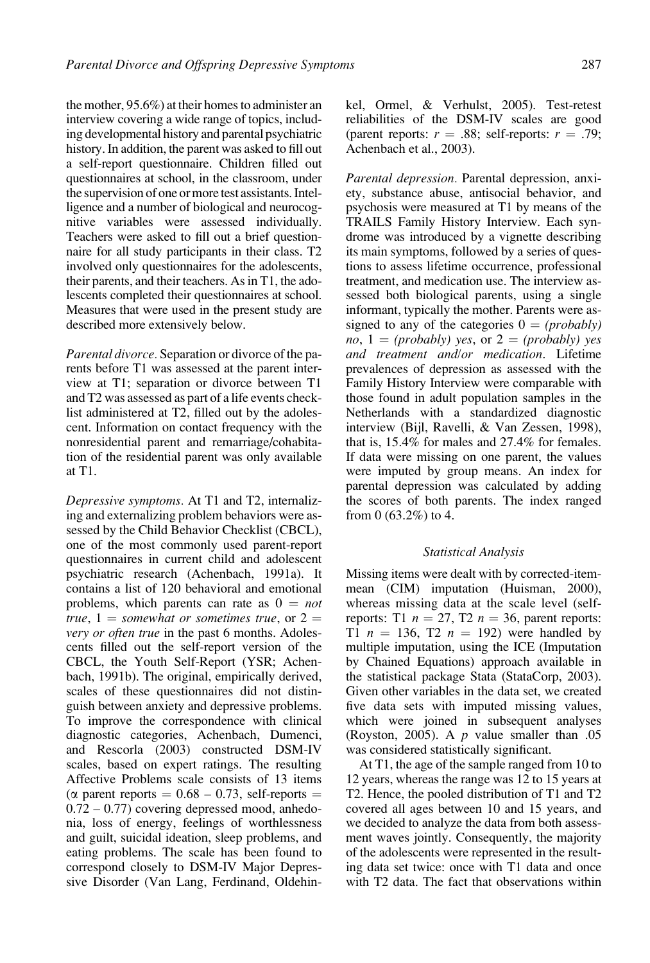the mother, 95.6%) at their homes to administer an interview covering a wide range of topics, including developmental history and parental psychiatric history. In addition, the parent was asked to fill out a self-report questionnaire. Children filled out questionnaires at school, in the classroom, under the supervision of one or more test assistants. Intelligence and a number of biological and neurocognitive variables were assessed individually. Teachers were asked to fill out a brief questionnaire for all study participants in their class. T2 involved only questionnaires for the adolescents, their parents, and their teachers. As in T1, the adolescents completed their questionnaires at school. Measures that were used in the present study are described more extensively below.

Parental divorce. Separation or divorce of the parents before T1 was assessed at the parent interview at T1; separation or divorce between T1 and T2 was assessed as part of a life events checklist administered at T2, filled out by the adolescent. Information on contact frequency with the nonresidential parent and remarriage/cohabitation of the residential parent was only available at T1.

Depressive symptoms. At T1 and T2, internalizing and externalizing problem behaviors were assessed by the Child Behavior Checklist (CBCL), one of the most commonly used parent-report questionnaires in current child and adolescent psychiatric research (Achenbach, 1991a). It contains a list of 120 behavioral and emotional problems, which parents can rate as  $0 = not$ true,  $1 =$  somewhat or sometimes true, or  $2 =$ very or often true in the past 6 months. Adolescents filled out the self-report version of the CBCL, the Youth Self-Report (YSR; Achenbach, 1991b). The original, empirically derived, scales of these questionnaires did not distinguish between anxiety and depressive problems. To improve the correspondence with clinical diagnostic categories, Achenbach, Dumenci, and Rescorla (2003) constructed DSM-IV scales, based on expert ratings. The resulting Affective Problems scale consists of 13 items ( $\alpha$  parent reports = 0.68 – 0.73, self-reports = 0.72 – 0.77) covering depressed mood, anhedonia, loss of energy, feelings of worthlessness and guilt, suicidal ideation, sleep problems, and eating problems. The scale has been found to correspond closely to DSM-IV Major Depressive Disorder (Van Lang, Ferdinand, Oldehinkel, Ormel, & Verhulst, 2005). Test-retest reliabilities of the DSM-IV scales are good (parent reports:  $r = .88$ ; self-reports:  $r = .79$ ; Achenbach et al., 2003).

Parental depression. Parental depression, anxiety, substance abuse, antisocial behavior, and psychosis were measured at T1 by means of the TRAILS Family History Interview. Each syndrome was introduced by a vignette describing its main symptoms, followed by a series of questions to assess lifetime occurrence, professional treatment, and medication use. The interview assessed both biological parents, using a single informant, typically the mother. Parents were assigned to any of the categories  $0 = (probably)$ no,  $1 = (probability)$  yes, or  $2 = (probability)$  yes and treatment and/or medication. Lifetime prevalences of depression as assessed with the Family History Interview were comparable with those found in adult population samples in the Netherlands with a standardized diagnostic interview (Bijl, Ravelli, & Van Zessen, 1998), that is, 15.4% for males and 27.4% for females. If data were missing on one parent, the values were imputed by group means. An index for parental depression was calculated by adding the scores of both parents. The index ranged from 0 (63.2%) to 4.

## Statistical Analysis

Missing items were dealt with by corrected-itemmean (CIM) imputation (Huisman, 2000), whereas missing data at the scale level (selfreports: T1  $n = 27$ , T2  $n = 36$ , parent reports: T1  $n = 136$ , T2  $n = 192$ ) were handled by multiple imputation, using the ICE (Imputation by Chained Equations) approach available in the statistical package Stata (StataCorp, 2003). Given other variables in the data set, we created five data sets with imputed missing values, which were joined in subsequent analyses (Royston, 2005). A  $p$  value smaller than .05 was considered statistically significant.

At T1, the age of the sample ranged from 10 to 12 years, whereas the range was 12 to 15 years at T2. Hence, the pooled distribution of T1 and T2 covered all ages between 10 and 15 years, and we decided to analyze the data from both assessment waves jointly. Consequently, the majority of the adolescents were represented in the resulting data set twice: once with T1 data and once with T2 data. The fact that observations within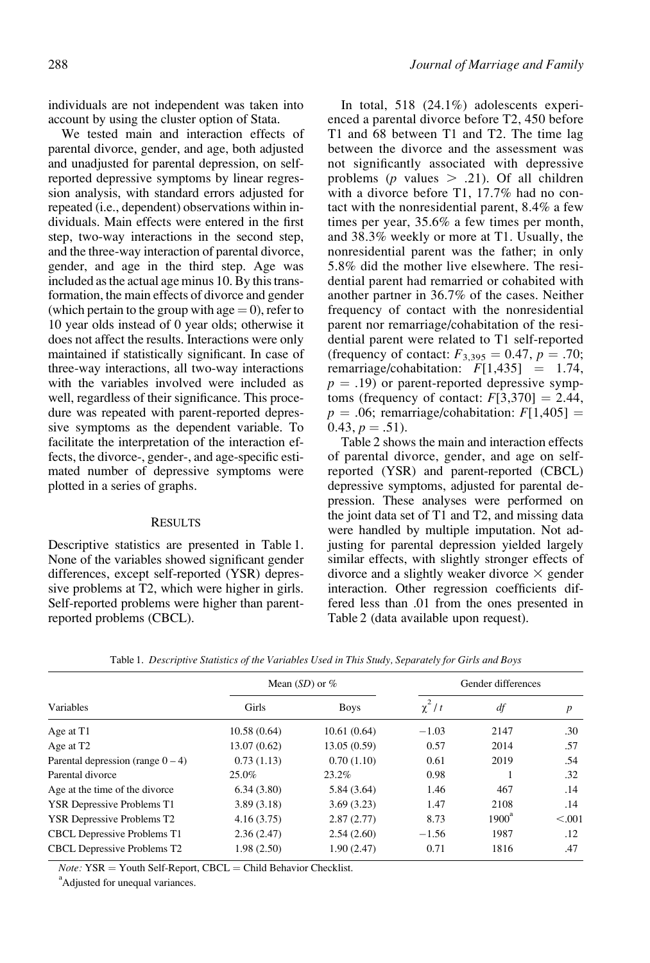individuals are not independent was taken into account by using the cluster option of Stata.

We tested main and interaction effects of parental divorce, gender, and age, both adjusted and unadjusted for parental depression, on selfreported depressive symptoms by linear regression analysis, with standard errors adjusted for repeated (i.e., dependent) observations within individuals. Main effects were entered in the first step, two-way interactions in the second step, and the three-way interaction of parental divorce, gender, and age in the third step. Age was included as the actual age minus 10. By this transformation, the main effects of divorce and gender (which pertain to the group with age  $= 0$ ), refer to 10 year olds instead of 0 year olds; otherwise it does not affect the results. Interactions were only maintained if statistically significant. In case of three-way interactions, all two-way interactions with the variables involved were included as well, regardless of their significance. This procedure was repeated with parent-reported depressive symptoms as the dependent variable. To facilitate the interpretation of the interaction effects, the divorce-, gender-, and age-specific estimated number of depressive symptoms were plotted in a series of graphs.

# **RESULTS**

Descriptive statistics are presented in Table 1. None of the variables showed significant gender differences, except self-reported (YSR) depressive problems at T2, which were higher in girls. Self-reported problems were higher than parentreported problems (CBCL).

In total, 518 (24.1%) adolescents experienced a parental divorce before T2, 450 before T1 and 68 between T1 and T2. The time lag between the divorce and the assessment was not significantly associated with depressive problems ( $p$  values  $> .21$ ). Of all children with a divorce before T1, 17.7% had no contact with the nonresidential parent, 8.4% a few times per year, 35.6% a few times per month, and 38.3% weekly or more at T1. Usually, the nonresidential parent was the father; in only 5.8% did the mother live elsewhere. The residential parent had remarried or cohabited with another partner in 36.7% of the cases. Neither frequency of contact with the nonresidential parent nor remarriage/cohabitation of the residential parent were related to T1 self-reported (frequency of contact:  $F_{3,395} = 0.47, p = .70;$ remarriage/cohabitation:  $F[1,435] = 1.74$ ,  $p = .19$ ) or parent-reported depressive symptoms (frequency of contact:  $F[3,370] = 2.44$ ,  $p = .06$ ; remarriage/cohabitation:  $F[1,405] =$  $0.43, p = .51$ .

Table 2 shows the main and interaction effects of parental divorce, gender, and age on selfreported (YSR) and parent-reported (CBCL) depressive symptoms, adjusted for parental depression. These analyses were performed on the joint data set of T1 and T2, and missing data were handled by multiple imputation. Not adjusting for parental depression yielded largely similar effects, with slightly stronger effects of divorce and a slightly weaker divorce  $\times$  gender interaction. Other regression coefficients differed less than .01 from the ones presented in Table 2 (data available upon request).

| Variables                            | Mean $(SD)$ or $\%$ |             | Gender differences |                     |                  |
|--------------------------------------|---------------------|-------------|--------------------|---------------------|------------------|
|                                      | Girls               | <b>Boys</b> | $\chi^2/t$         | df                  | $\boldsymbol{p}$ |
| Age at T1                            | 10.58(0.64)         | 10.61(0.64) | $-1.03$            | 2147                | .30              |
| Age at T <sub>2</sub>                | 13.07 (0.62)        | 13.05(0.59) | 0.57               | 2014                | .57              |
| Parental depression (range $0 - 4$ ) | 0.73(1.13)          | 0.70(1.10)  | 0.61               | 2019                | .54              |
| Parental divorce                     | $25.0\%$            | $23.2\%$    | 0.98               |                     | .32              |
| Age at the time of the divorce       | 6.34(3.80)          | 5.84(3.64)  | 1.46               | 467                 | .14              |
| <b>YSR Depressive Problems T1</b>    | 3.89(3.18)          | 3.69(3.23)  | 1.47               | 2108                | .14              |
| <b>YSR Depressive Problems T2</b>    | 4.16(3.75)          | 2.87(2.77)  | 8.73               | $1900^{\mathrm{a}}$ | < 0.001          |
| CBCL Depressive Problems T1          | 2.36(2.47)          | 2.54(2.60)  | $-1.56$            | 1987                | $.12\,$          |
| <b>CBCL Depressive Problems T2</b>   | 1.98(2.50)          | 1.90(2.47)  | 0.71               | 1816                | .47              |

Table 1. Descriptive Statistics of the Variables Used in This Study, Separately for Girls and Boys

 $Note: YSR = Youth Self-Report, CBCL = Child Behavior Checklist.$ 

<sup>a</sup>Adjusted for unequal variances.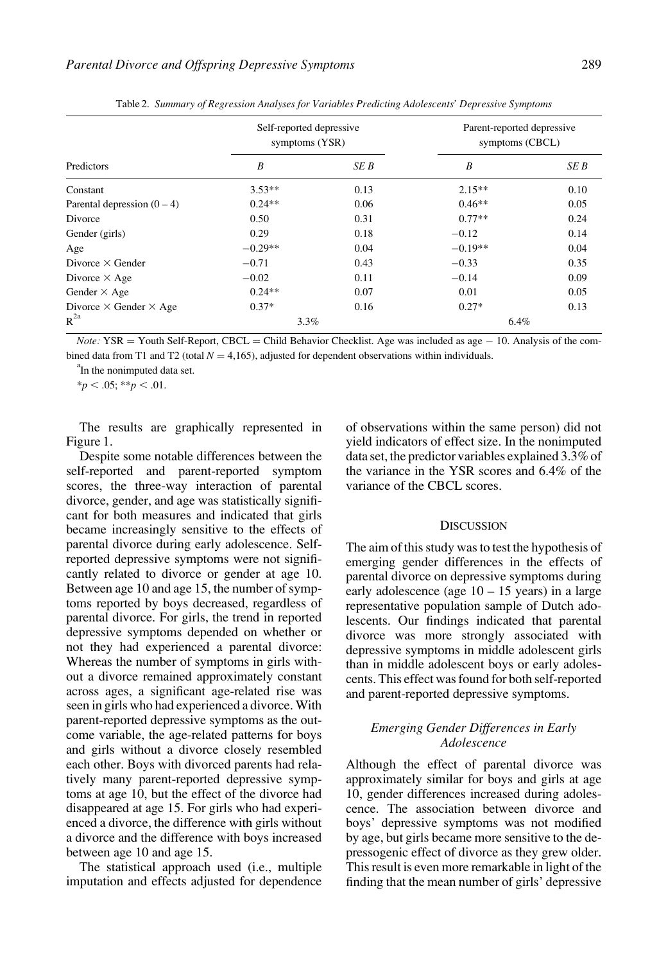| Predictors                                       | Self-reported depressive<br>symptoms (YSR) |      | Parent-reported depressive<br>symptoms (CBCL) |      |
|--------------------------------------------------|--------------------------------------------|------|-----------------------------------------------|------|
|                                                  | B                                          | SE B | B                                             | SE B |
| Constant                                         | $3.53**$                                   | 0.13 | $2.15**$                                      | 0.10 |
| Parental depression $(0 – 4)$                    | $0.24**$                                   | 0.06 | $0.46**$                                      | 0.05 |
| Divorce                                          | 0.50                                       | 0.31 | $0.77**$                                      | 0.24 |
| Gender (girls)                                   | 0.29                                       | 0.18 | $-0.12$                                       | 0.14 |
| Age                                              | $-0.29**$                                  | 0.04 | $-0.19**$                                     | 0.04 |
| Divorce $\times$ Gender                          | $-0.71$                                    | 0.43 | $-0.33$                                       | 0.35 |
| Divorce $\times$ Age                             | $-0.02$                                    | 0.11 | $-0.14$                                       | 0.09 |
| Gender $\times$ Age                              | $0.24**$                                   | 0.07 | 0.01                                          | 0.05 |
| Divorce $\times$ Gender $\times$ Age<br>$R^{2a}$ | $0.37*$<br>$3.3\%$                         | 0.16 | $0.27*$<br>6.4%                               | 0.13 |

Table 2. Summary of Regression Analyses for Variables Predicting Adolescents' Depressive Symptoms

*Note:* YSR = Youth Self-Report, CBCL = Child Behavior Checklist. Age was included as age  $-10$ . Analysis of the combined data from T1 and T2 (total  $N = 4,165$ ), adjusted for dependent observations within individuals.

<sup>a</sup>In the nonimputed data set.

 $*_{p} < .05; **_{p} < .01.$ 

The results are graphically represented in Figure 1.

Despite some notable differences between the self-reported and parent-reported symptom scores, the three-way interaction of parental divorce, gender, and age was statistically significant for both measures and indicated that girls became increasingly sensitive to the effects of parental divorce during early adolescence. Selfreported depressive symptoms were not significantly related to divorce or gender at age 10. Between age 10 and age 15, the number of symptoms reported by boys decreased, regardless of parental divorce. For girls, the trend in reported depressive symptoms depended on whether or not they had experienced a parental divorce: Whereas the number of symptoms in girls without a divorce remained approximately constant across ages, a significant age-related rise was seen in girls who had experienced a divorce. With parent-reported depressive symptoms as the outcome variable, the age-related patterns for boys and girls without a divorce closely resembled each other. Boys with divorced parents had relatively many parent-reported depressive symptoms at age 10, but the effect of the divorce had disappeared at age 15. For girls who had experienced a divorce, the difference with girls without a divorce and the difference with boys increased between age 10 and age 15.

The statistical approach used (i.e., multiple imputation and effects adjusted for dependence of observations within the same person) did not yield indicators of effect size. In the nonimputed data set, the predictor variables explained 3.3% of the variance in the YSR scores and 6.4% of the variance of the CBCL scores.

#### **DISCUSSION**

The aim of this study was to test the hypothesis of emerging gender differences in the effects of parental divorce on depressive symptoms during early adolescence (age  $10 - 15$  years) in a large representative population sample of Dutch adolescents. Our findings indicated that parental divorce was more strongly associated with depressive symptoms in middle adolescent girls than in middle adolescent boys or early adolescents. This effect was found for both self-reported and parent-reported depressive symptoms.

# Emerging Gender Differences in Early Adolescence

Although the effect of parental divorce was approximately similar for boys and girls at age 10, gender differences increased during adolescence. The association between divorce and boys' depressive symptoms was not modified by age, but girls became more sensitive to the depressogenic effect of divorce as they grew older. This result is even more remarkable in light of the finding that the mean number of girls' depressive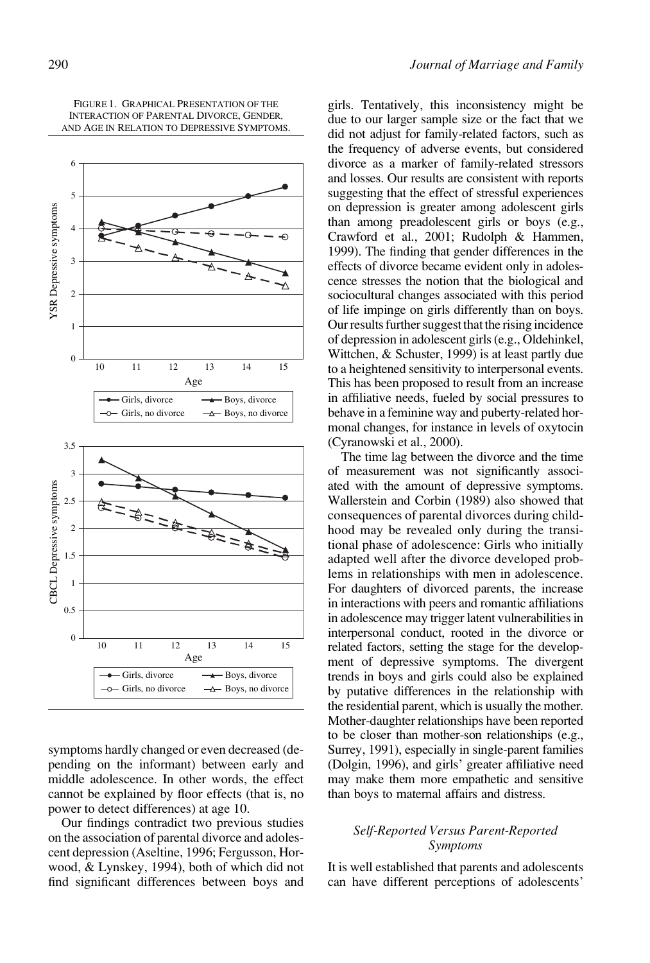FIGURE 1. GRAPHICAL PRESENTATION OF THE INTERACTION OF PARENTAL DIVORCE, GENDER, AND AGE IN RELATION TO DEPRESSIVE SYMPTOMS.



symptoms hardly changed or even decreased (depending on the informant) between early and middle adolescence. In other words, the effect cannot be explained by floor effects (that is, no power to detect differences) at age 10.

Our findings contradict two previous studies on the association of parental divorce and adolescent depression (Aseltine, 1996; Fergusson, Horwood, & Lynskey, 1994), both of which did not find significant differences between boys and girls. Tentatively, this inconsistency might be due to our larger sample size or the fact that we did not adjust for family-related factors, such as the frequency of adverse events, but considered divorce as a marker of family-related stressors and losses. Our results are consistent with reports suggesting that the effect of stressful experiences on depression is greater among adolescent girls than among preadolescent girls or boys (e.g., Crawford et al., 2001; Rudolph & Hammen, 1999). The finding that gender differences in the effects of divorce became evident only in adolescence stresses the notion that the biological and sociocultural changes associated with this period of life impinge on girls differently than on boys. Our results further suggest that the rising incidence of depression in adolescent girls (e.g., Oldehinkel, Wittchen, & Schuster, 1999) is at least partly due to a heightened sensitivity to interpersonal events. This has been proposed to result from an increase in affiliative needs, fueled by social pressures to behave in a feminine way and puberty-related hormonal changes, for instance in levels of oxytocin (Cyranowski et al., 2000).

The time lag between the divorce and the time of measurement was not significantly associated with the amount of depressive symptoms. Wallerstein and Corbin (1989) also showed that consequences of parental divorces during childhood may be revealed only during the transitional phase of adolescence: Girls who initially adapted well after the divorce developed problems in relationships with men in adolescence. For daughters of divorced parents, the increase in interactions with peers and romantic affiliations in adolescence may trigger latent vulnerabilities in interpersonal conduct, rooted in the divorce or related factors, setting the stage for the development of depressive symptoms. The divergent trends in boys and girls could also be explained by putative differences in the relationship with the residential parent, which is usually the mother. Mother-daughter relationships have been reported to be closer than mother-son relationships (e.g., Surrey, 1991), especially in single-parent families (Dolgin, 1996), and girls' greater affiliative need may make them more empathetic and sensitive than boys to maternal affairs and distress.

# Self-Reported Versus Parent-Reported Symptoms

It is well established that parents and adolescents can have different perceptions of adolescents'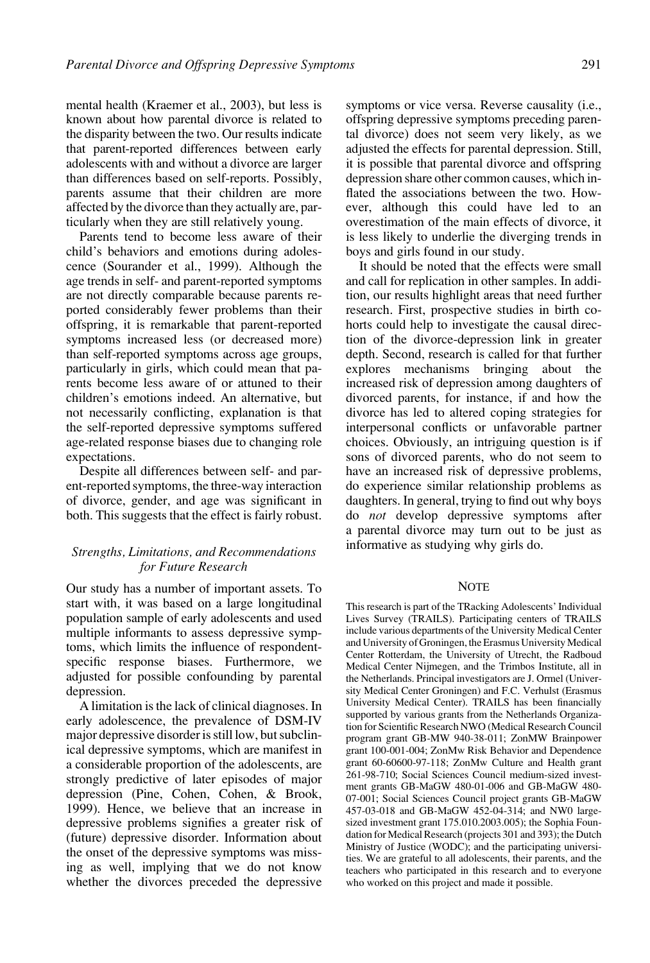mental health (Kraemer et al., 2003), but less is known about how parental divorce is related to the disparity between the two. Our results indicate that parent-reported differences between early adolescents with and without a divorce are larger than differences based on self-reports. Possibly, parents assume that their children are more affected by the divorce than they actually are, particularly when they are still relatively young.

Parents tend to become less aware of their child's behaviors and emotions during adolescence (Sourander et al., 1999). Although the age trends in self- and parent-reported symptoms are not directly comparable because parents reported considerably fewer problems than their offspring, it is remarkable that parent-reported symptoms increased less (or decreased more) than self-reported symptoms across age groups, particularly in girls, which could mean that parents become less aware of or attuned to their children's emotions indeed. An alternative, but not necessarily conflicting, explanation is that the self-reported depressive symptoms suffered age-related response biases due to changing role expectations.

Despite all differences between self- and parent-reported symptoms, the three-way interaction of divorce, gender, and age was significant in both. This suggests that the effect is fairly robust.

# Strengths, Limitations, and Recommendations for Future Research

Our study has a number of important assets. To start with, it was based on a large longitudinal population sample of early adolescents and used multiple informants to assess depressive symptoms, which limits the influence of respondentspecific response biases. Furthermore, we adjusted for possible confounding by parental depression.

A limitation is the lack of clinical diagnoses. In early adolescence, the prevalence of DSM-IV major depressive disorder is still low, but subclinical depressive symptoms, which are manifest in a considerable proportion of the adolescents, are strongly predictive of later episodes of major depression (Pine, Cohen, Cohen, & Brook, 1999). Hence, we believe that an increase in depressive problems signifies a greater risk of (future) depressive disorder. Information about the onset of the depressive symptoms was missing as well, implying that we do not know whether the divorces preceded the depressive

symptoms or vice versa. Reverse causality (i.e., offspring depressive symptoms preceding parental divorce) does not seem very likely, as we adjusted the effects for parental depression. Still, it is possible that parental divorce and offspring depression share other common causes, which inflated the associations between the two. However, although this could have led to an overestimation of the main effects of divorce, it is less likely to underlie the diverging trends in boys and girls found in our study.

It should be noted that the effects were small and call for replication in other samples. In addition, our results highlight areas that need further research. First, prospective studies in birth cohorts could help to investigate the causal direction of the divorce-depression link in greater depth. Second, research is called for that further explores mechanisms bringing about the increased risk of depression among daughters of divorced parents, for instance, if and how the divorce has led to altered coping strategies for interpersonal conflicts or unfavorable partner choices. Obviously, an intriguing question is if sons of divorced parents, who do not seem to have an increased risk of depressive problems, do experience similar relationship problems as daughters. In general, trying to find out why boys do not develop depressive symptoms after a parental divorce may turn out to be just as informative as studying why girls do.

## NOTE

This research is part of the TRacking Adolescents' Individual Lives Survey (TRAILS). Participating centers of TRAILS include various departments of the University Medical Center and University of Groningen, the Erasmus University Medical Center Rotterdam, the University of Utrecht, the Radboud Medical Center Nijmegen, and the Trimbos Institute, all in the Netherlands. Principal investigators are J. Ormel (University Medical Center Groningen) and F.C. Verhulst (Erasmus University Medical Center). TRAILS has been financially supported by various grants from the Netherlands Organization for Scientific Research NWO (Medical Research Council program grant GB-MW 940-38-011; ZonMW Brainpower grant 100-001-004; ZonMw Risk Behavior and Dependence grant 60-60600-97-118; ZonMw Culture and Health grant 261-98-710; Social Sciences Council medium-sized investment grants GB-MaGW 480-01-006 and GB-MaGW 480- 07-001; Social Sciences Council project grants GB-MaGW 457-03-018 and GB-MaGW 452-04-314; and NW0 largesized investment grant 175.010.2003.005); the Sophia Foundation for Medical Research (projects 301 and 393); the Dutch Ministry of Justice (WODC); and the participating universities. We are grateful to all adolescents, their parents, and the teachers who participated in this research and to everyone who worked on this project and made it possible.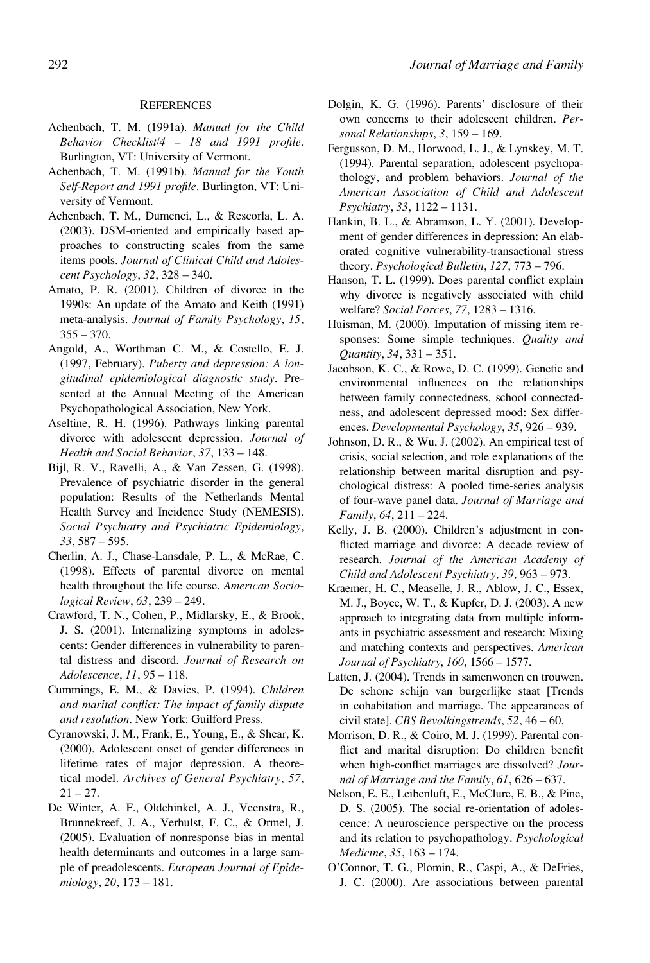### **REFERENCES**

- Achenbach, T. M. (1991a). Manual for the Child Behavior Checklist/4 – 18 and 1991 profile. Burlington, VT: University of Vermont.
- Achenbach, T. M. (1991b). Manual for the Youth Self-Report and 1991 profile. Burlington, VT: University of Vermont.
- Achenbach, T. M., Dumenci, L., & Rescorla, L. A. (2003). DSM-oriented and empirically based approaches to constructing scales from the same items pools. Journal of Clinical Child and Adolescent Psychology, 32, 328 – 340.
- Amato, P. R. (2001). Children of divorce in the 1990s: An update of the Amato and Keith (1991) meta-analysis. Journal of Family Psychology, 15,  $355 - 370.$
- Angold, A., Worthman C. M., & Costello, E. J. (1997, February). Puberty and depression: A longitudinal epidemiological diagnostic study. Presented at the Annual Meeting of the American Psychopathological Association, New York.
- Aseltine, R. H. (1996). Pathways linking parental divorce with adolescent depression. Journal of Health and Social Behavior, 37, 133 – 148.
- Bijl, R. V., Ravelli, A., & Van Zessen, G. (1998). Prevalence of psychiatric disorder in the general population: Results of the Netherlands Mental Health Survey and Incidence Study (NEMESIS). Social Psychiatry and Psychiatric Epidemiology, 33, 587 – 595.
- Cherlin, A. J., Chase-Lansdale, P. L., & McRae, C. (1998). Effects of parental divorce on mental health throughout the life course. American Sociological Review, 63, 239 – 249.
- Crawford, T. N., Cohen, P., Midlarsky, E., & Brook, J. S. (2001). Internalizing symptoms in adolescents: Gender differences in vulnerability to parental distress and discord. Journal of Research on Adolescence, 11, 95 – 118.
- Cummings, E. M., & Davies, P. (1994). Children and marital conflict: The impact of family dispute and resolution. New York: Guilford Press.
- Cyranowski, J. M., Frank, E., Young, E., & Shear, K. (2000). Adolescent onset of gender differences in lifetime rates of major depression. A theoretical model. Archives of General Psychiatry, 57,  $21 - 27.$
- De Winter, A. F., Oldehinkel, A. J., Veenstra, R., Brunnekreef, J. A., Verhulst, F. C., & Ormel, J. (2005). Evaluation of nonresponse bias in mental health determinants and outcomes in a large sample of preadolescents. European Journal of Epidemiology, 20, 173 – 181.
- Dolgin, K. G. (1996). Parents' disclosure of their own concerns to their adolescent children. Personal Relationships, 3, 159 – 169.
- Fergusson, D. M., Horwood, L. J., & Lynskey, M. T. (1994). Parental separation, adolescent psychopathology, and problem behaviors. Journal of the American Association of Child and Adolescent Psychiatry, 33, 1122 – 1131.
- Hankin, B. L., & Abramson, L. Y. (2001). Development of gender differences in depression: An elaborated cognitive vulnerability-transactional stress theory. Psychological Bulletin, 127, 773 – 796.
- Hanson, T. L. (1999). Does parental conflict explain why divorce is negatively associated with child welfare? Social Forces, 77, 1283 – 1316.
- Huisman, M. (2000). Imputation of missing item responses: Some simple techniques. Quality and Quantity, 34, 331 – 351.
- Jacobson, K. C., & Rowe, D. C. (1999). Genetic and environmental influences on the relationships between family connectedness, school connectedness, and adolescent depressed mood: Sex differences. Developmental Psychology, 35, 926 – 939.
- Johnson, D. R., & Wu, J. (2002). An empirical test of crisis, social selection, and role explanations of the relationship between marital disruption and psychological distress: A pooled time-series analysis of four-wave panel data. Journal of Marriage and Family, 64, 211 – 224.
- Kelly, J. B. (2000). Children's adjustment in conflicted marriage and divorce: A decade review of research. Journal of the American Academy of Child and Adolescent Psychiatry, 39, 963 – 973.
- Kraemer, H. C., Measelle, J. R., Ablow, J. C., Essex, M. J., Boyce, W. T., & Kupfer, D. J. (2003). A new approach to integrating data from multiple informants in psychiatric assessment and research: Mixing and matching contexts and perspectives. American Journal of Psychiatry, 160, 1566 – 1577.
- Latten, J. (2004). Trends in samenwonen en trouwen. De schone schijn van burgerlijke staat [Trends in cohabitation and marriage. The appearances of civil state]. CBS Bevolkingstrends, 52, 46 – 60.
- Morrison, D. R., & Coiro, M. J. (1999). Parental conflict and marital disruption: Do children benefit when high-conflict marriages are dissolved? Journal of Marriage and the Family, 61, 626 – 637.
- Nelson, E. E., Leibenluft, E., McClure, E. B., & Pine, D. S. (2005). The social re-orientation of adolescence: A neuroscience perspective on the process and its relation to psychopathology. Psychological Medicine, 35, 163 – 174.
- O'Connor, T. G., Plomin, R., Caspi, A., & DeFries, J. C. (2000). Are associations between parental